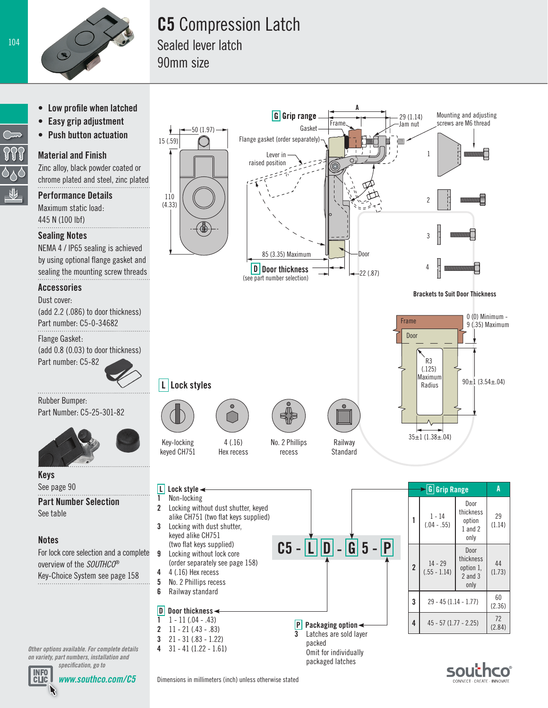

# **C5** Compression Latch

Sealed lever latch 90mm size





*www.southco.com/C5*

southco